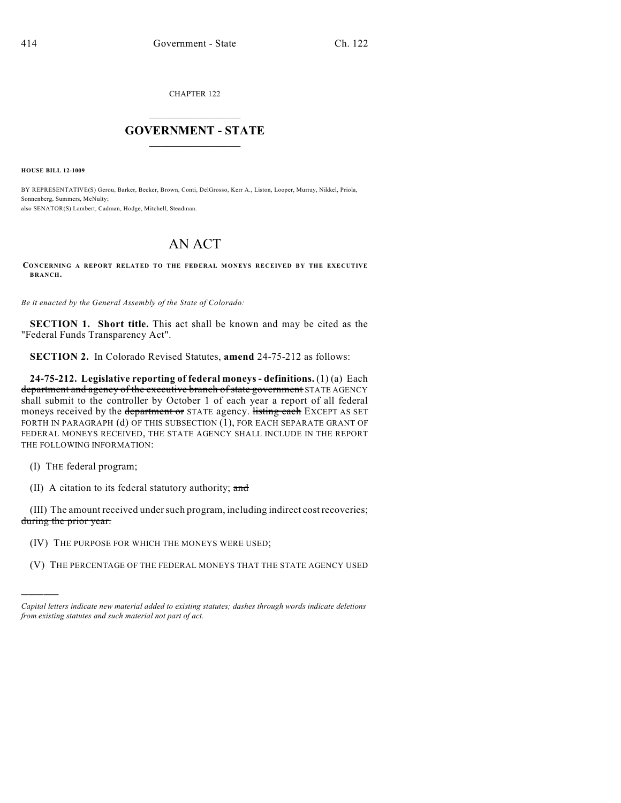CHAPTER 122

## $\overline{\phantom{a}}$  . The set of the set of the set of the set of the set of the set of the set of the set of the set of the set of the set of the set of the set of the set of the set of the set of the set of the set of the set o **GOVERNMENT - STATE**  $\_$

**HOUSE BILL 12-1009**

BY REPRESENTATIVE(S) Gerou, Barker, Becker, Brown, Conti, DelGrosso, Kerr A., Liston, Looper, Murray, Nikkel, Priola, Sonnenberg, Summers, McNulty; also SENATOR(S) Lambert, Cadman, Hodge, Mitchell, Steadman.

## AN ACT

**CONCERNING A REPORT RELATED TO THE FEDERAL MONEYS RECEIVED BY THE EXECUTIVE BRANCH.**

*Be it enacted by the General Assembly of the State of Colorado:*

**SECTION 1. Short title.** This act shall be known and may be cited as the "Federal Funds Transparency Act".

**SECTION 2.** In Colorado Revised Statutes, **amend** 24-75-212 as follows:

**24-75-212. Legislative reporting of federal moneys - definitions.** (1) (a) Each department and agency of the executive branch of state government STATE AGENCY shall submit to the controller by October 1 of each year a report of all federal moneys received by the department or STATE agency. listing each EXCEPT AS SET FORTH IN PARAGRAPH (d) OF THIS SUBSECTION (1), FOR EACH SEPARATE GRANT OF FEDERAL MONEYS RECEIVED, THE STATE AGENCY SHALL INCLUDE IN THE REPORT THE FOLLOWING INFORMATION:

(I) THE federal program;

)))))

(II) A citation to its federal statutory authority; and

(III) The amount received under such program, including indirect cost recoveries; during the prior year.

- (IV) THE PURPOSE FOR WHICH THE MONEYS WERE USED;
- (V) THE PERCENTAGE OF THE FEDERAL MONEYS THAT THE STATE AGENCY USED

*Capital letters indicate new material added to existing statutes; dashes through words indicate deletions from existing statutes and such material not part of act.*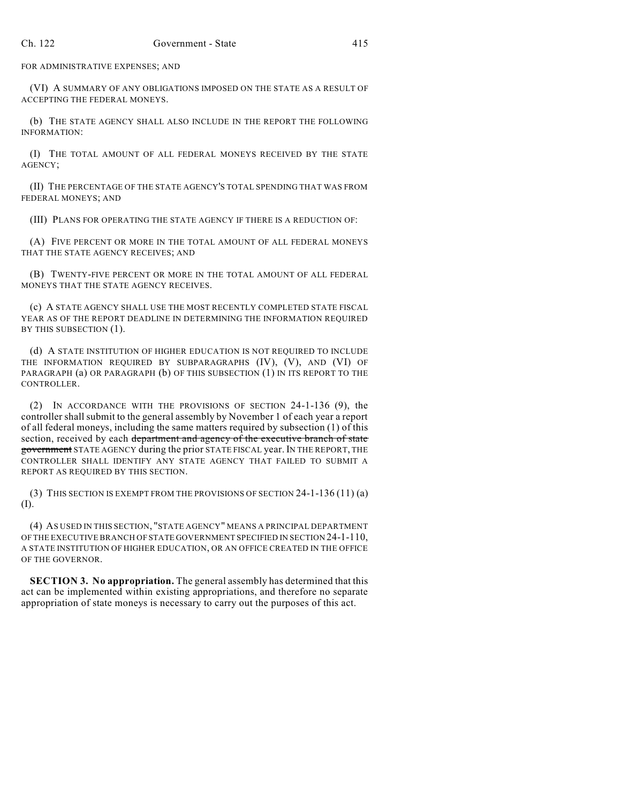FOR ADMINISTRATIVE EXPENSES; AND

(VI) A SUMMARY OF ANY OBLIGATIONS IMPOSED ON THE STATE AS A RESULT OF ACCEPTING THE FEDERAL MONEYS.

(b) THE STATE AGENCY SHALL ALSO INCLUDE IN THE REPORT THE FOLLOWING INFORMATION:

(I) THE TOTAL AMOUNT OF ALL FEDERAL MONEYS RECEIVED BY THE STATE AGENCY;

(II) THE PERCENTAGE OF THE STATE AGENCY'S TOTAL SPENDING THAT WAS FROM FEDERAL MONEYS; AND

(III) PLANS FOR OPERATING THE STATE AGENCY IF THERE IS A REDUCTION OF:

(A) FIVE PERCENT OR MORE IN THE TOTAL AMOUNT OF ALL FEDERAL MONEYS THAT THE STATE AGENCY RECEIVES; AND

(B) TWENTY-FIVE PERCENT OR MORE IN THE TOTAL AMOUNT OF ALL FEDERAL MONEYS THAT THE STATE AGENCY RECEIVES.

(c) A STATE AGENCY SHALL USE THE MOST RECENTLY COMPLETED STATE FISCAL YEAR AS OF THE REPORT DEADLINE IN DETERMINING THE INFORMATION REQUIRED BY THIS SUBSECTION (1).

(d) A STATE INSTITUTION OF HIGHER EDUCATION IS NOT REQUIRED TO INCLUDE THE INFORMATION REQUIRED BY SUBPARAGRAPHS (IV), (V), AND (VI) OF PARAGRAPH (a) OR PARAGRAPH (b) OF THIS SUBSECTION (1) IN ITS REPORT TO THE CONTROLLER.

(2) IN ACCORDANCE WITH THE PROVISIONS OF SECTION 24-1-136 (9), the controller shall submit to the general assembly by November 1 of each year a report of all federal moneys, including the same matters required by subsection (1) of this section, received by each department and agency of the executive branch of state government STATE AGENCY during the prior STATE FISCAL year. IN THE REPORT, THE CONTROLLER SHALL IDENTIFY ANY STATE AGENCY THAT FAILED TO SUBMIT A REPORT AS REQUIRED BY THIS SECTION.

(3) THIS SECTION IS EXEMPT FROM THE PROVISIONS OF SECTION 24-1-136 (11) (a) (I).

(4) AS USED IN THIS SECTION, "STATE AGENCY" MEANS A PRINCIPAL DEPARTMENT OF THE EXECUTIVE BRANCH OF STATE GOVERNMENT SPECIFIED IN SECTION 24-1-110, A STATE INSTITUTION OF HIGHER EDUCATION, OR AN OFFICE CREATED IN THE OFFICE OF THE GOVERNOR.

**SECTION 3. No appropriation.** The general assembly has determined that this act can be implemented within existing appropriations, and therefore no separate appropriation of state moneys is necessary to carry out the purposes of this act.